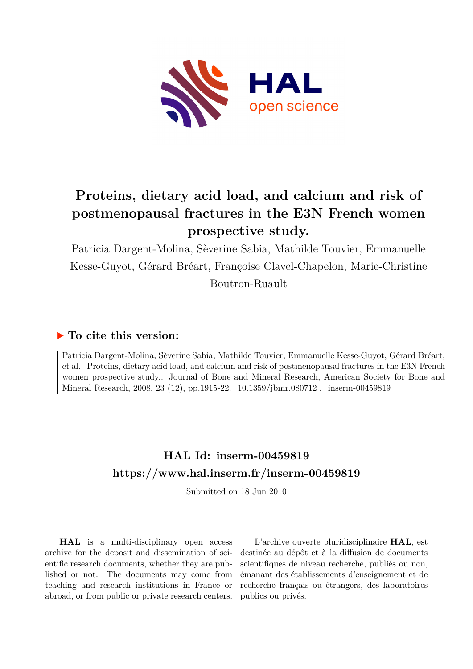

# **Proteins, dietary acid load, and calcium and risk of postmenopausal fractures in the E3N French women prospective study.**

Patricia Dargent-Molina, Sèverine Sabia, Mathilde Touvier, Emmanuelle Kesse-Guyot, Gérard Bréart, Françoise Clavel-Chapelon, Marie-Christine Boutron-Ruault

### **To cite this version:**

Patricia Dargent-Molina, Sèverine Sabia, Mathilde Touvier, Emmanuelle Kesse-Guyot, Gérard Bréart, et al.. Proteins, dietary acid load, and calcium and risk of postmenopausal fractures in the E3N French women prospective study.. Journal of Bone and Mineral Research, American Society for Bone and Mineral Research, 2008, 23 (12), pp.1915-22. 10.1359/jbmr.080712. inserm-00459819

## **HAL Id: inserm-00459819 <https://www.hal.inserm.fr/inserm-00459819>**

Submitted on 18 Jun 2010

**HAL** is a multi-disciplinary open access archive for the deposit and dissemination of scientific research documents, whether they are published or not. The documents may come from teaching and research institutions in France or abroad, or from public or private research centers.

L'archive ouverte pluridisciplinaire **HAL**, est destinée au dépôt et à la diffusion de documents scientifiques de niveau recherche, publiés ou non, émanant des établissements d'enseignement et de recherche français ou étrangers, des laboratoires publics ou privés.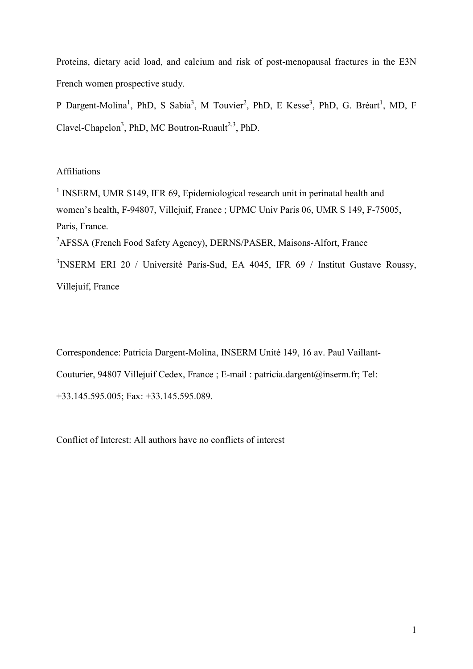Proteins, dietary acid load, and calcium and risk of post-menopausal fractures in the E3N French women prospective study.

P Dargent-Molina<sup>1</sup>, PhD, S Sabia<sup>3</sup>, M Touvier<sup>2</sup>, PhD, E Kesse<sup>3</sup>, PhD, G. Bréart<sup>1</sup>, MD, F Clavel-Chapelon<sup>3</sup>, PhD, MC Boutron-Ruault<sup>2,3</sup>, PhD.

#### Affiliations

<sup>1</sup> INSERM, UMR S149, IFR 69, Epidemiological research unit in perinatal health and women"s health, F-94807, Villejuif, France ; UPMC Univ Paris 06, UMR S 149, F-75005, Paris, France.

<sup>2</sup>AFSSA (French Food Safety Agency), DERNS/PASER, Maisons-Alfort, France

<sup>3</sup>INSERM ERI 20 / Université Paris-Sud, EA 4045, IFR 69 / Institut Gustave Roussy, Villejuif, France

Correspondence: Patricia Dargent-Molina, INSERM Unité 149, 16 av. Paul Vaillant-Couturier, 94807 Villejuif Cedex, France ; E-mail : patricia.dargent@inserm.fr; Tel: +33.145.595.005; Fax: +33.145.595.089.

Conflict of Interest: All authors have no conflicts of interest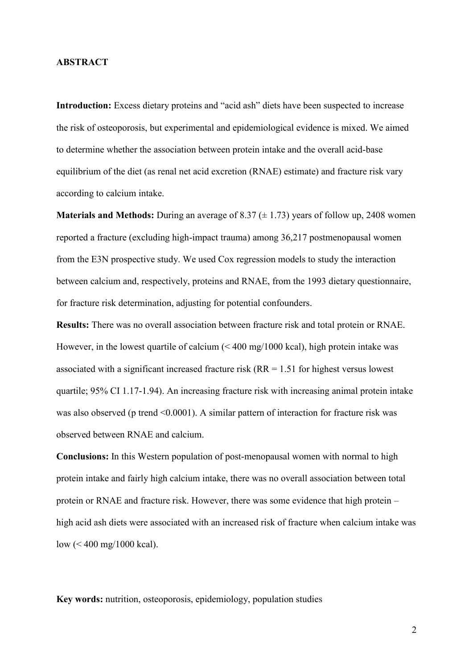#### **ABSTRACT**

**Introduction:** Excess dietary proteins and "acid ash" diets have been suspected to increase the risk of osteoporosis, but experimental and epidemiological evidence is mixed. We aimed to determine whether the association between protein intake and the overall acid-base equilibrium of the diet (as renal net acid excretion (RNAE) estimate) and fracture risk vary according to calcium intake.

**Materials and Methods:** During an average of 8.37  $(\pm 1.73)$  years of follow up, 2408 women reported a fracture (excluding high-impact trauma) among 36,217 postmenopausal women from the E3N prospective study. We used Cox regression models to study the interaction between calcium and, respectively, proteins and RNAE, from the 1993 dietary questionnaire, for fracture risk determination, adjusting for potential confounders.

**Results:** There was no overall association between fracture risk and total protein or RNAE. However, in the lowest quartile of calcium (< 400 mg/1000 kcal), high protein intake was associated with a significant increased fracture risk (RR = 1.51 for highest versus lowest quartile; 95% CI 1.17-1.94). An increasing fracture risk with increasing animal protein intake was also observed (p trend <0.0001). A similar pattern of interaction for fracture risk was observed between RNAE and calcium.

**Conclusions:** In this Western population of post-menopausal women with normal to high protein intake and fairly high calcium intake, there was no overall association between total protein or RNAE and fracture risk. However, there was some evidence that high protein – high acid ash diets were associated with an increased risk of fracture when calcium intake was low (< 400 mg/1000 kcal).

**Key words:** nutrition, osteoporosis, epidemiology, population studies

2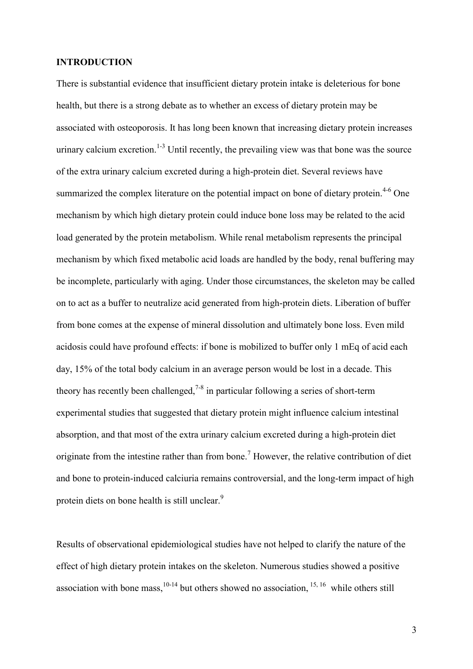#### **INTRODUCTION**

There is substantial evidence that insufficient dietary protein intake is deleterious for bone health, but there is a strong debate as to whether an excess of dietary protein may be associated with osteoporosis. It has long been known that increasing dietary protein increases urinary calcium excretion.<sup>1-3</sup> Until recently, the prevailing view was that bone was the source of the extra urinary calcium excreted during a high-protein diet. Several reviews have summarized the complex literature on the potential impact on bone of dietary protein.<sup>4-6</sup> One mechanism by which high dietary protein could induce bone loss may be related to the acid load generated by the protein metabolism. While renal metabolism represents the principal mechanism by which fixed metabolic acid loads are handled by the body, renal buffering may be incomplete, particularly with aging. Under those circumstances, the skeleton may be called on to act as a buffer to neutralize acid generated from high-protein diets. Liberation of buffer from bone comes at the expense of mineral dissolution and ultimately bone loss. Even mild acidosis could have profound effects: if bone is mobilized to buffer only 1 mEq of acid each day, 15% of the total body calcium in an average person would be lost in a decade. This theory has recently been challenged,  $7-8$  in particular following a series of short-term experimental studies that suggested that dietary protein might influence calcium intestinal absorption, and that most of the extra urinary calcium excreted during a high-protein diet originate from the intestine rather than from bone.<sup>7</sup> However, the relative contribution of diet and bone to protein-induced calciuria remains controversial, and the long-term impact of high protein diets on bone health is still unclear.<sup>9</sup>

Results of observational epidemiological studies have not helped to clarify the nature of the effect of high dietary protein intakes on the skeleton. Numerous studies showed a positive association with bone mass,  $10-14$  but others showed no association,  $15, 16$  while others still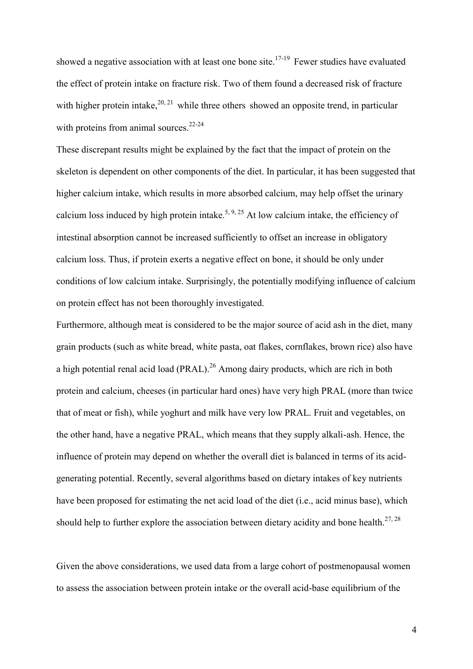showed a negative association with at least one bone site.<sup>17-19</sup> Fewer studies have evaluated the effect of protein intake on fracture risk. Two of them found a decreased risk of fracture with higher protein intake,  $20, 21$  while three others showed an opposite trend, in particular with proteins from animal sources.<sup>22-24</sup>

These discrepant results might be explained by the fact that the impact of protein on the skeleton is dependent on other components of the diet. In particular, it has been suggested that higher calcium intake, which results in more absorbed calcium, may help offset the urinary calcium loss induced by high protein intake.<sup>5, 9, 25</sup> At low calcium intake, the efficiency of intestinal absorption cannot be increased sufficiently to offset an increase in obligatory calcium loss. Thus, if protein exerts a negative effect on bone, it should be only under conditions of low calcium intake. Surprisingly, the potentially modifying influence of calcium on protein effect has not been thoroughly investigated.

Furthermore, although meat is considered to be the major source of acid ash in the diet, many grain products (such as white bread, white pasta, oat flakes, cornflakes, brown rice) also have a high potential renal acid load (PRAL).<sup>26</sup> Among dairy products, which are rich in both protein and calcium, cheeses (in particular hard ones) have very high PRAL (more than twice that of meat or fish), while yoghurt and milk have very low PRAL. Fruit and vegetables, on the other hand, have a negative PRAL, which means that they supply alkali-ash. Hence, the influence of protein may depend on whether the overall diet is balanced in terms of its acidgenerating potential. Recently, several algorithms based on dietary intakes of key nutrients have been proposed for estimating the net acid load of the diet (i.e., acid minus base), which should help to further explore the association between dietary acidity and bone health.<sup>27, 28</sup>

Given the above considerations, we used data from a large cohort of postmenopausal women to assess the association between protein intake or the overall acid-base equilibrium of the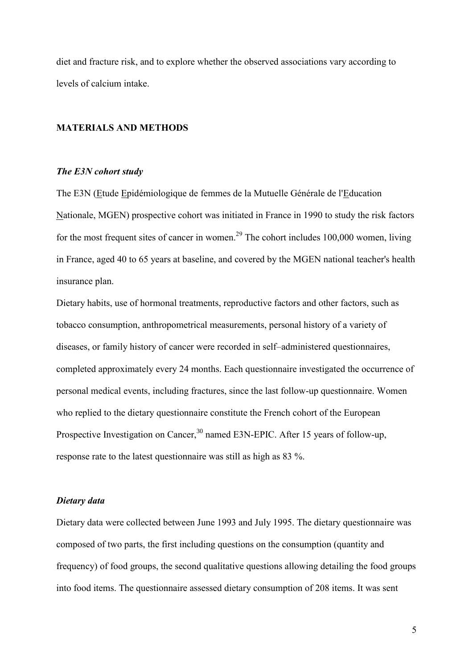diet and fracture risk, and to explore whether the observed associations vary according to levels of calcium intake.

#### **MATERIALS AND METHODS**

#### *The E3N cohort study*

The E3N (Etude Epidémiologique de femmes de la Mutuelle Générale de l'Education Nationale, MGEN) prospective cohort was initiated in France in 1990 to study the risk factors for the most frequent sites of cancer in women.<sup>29</sup> The cohort includes  $100,000$  women, living in France, aged 40 to 65 years at baseline, and covered by the MGEN national teacher's health insurance plan.

Dietary habits, use of hormonal treatments, reproductive factors and other factors, such as tobacco consumption, anthropometrical measurements, personal history of a variety of diseases, or family history of cancer were recorded in self–administered questionnaires, completed approximately every 24 months. Each questionnaire investigated the occurrence of personal medical events, including fractures, since the last follow-up questionnaire. Women who replied to the dietary questionnaire constitute the French cohort of the European Prospective Investigation on Cancer,<sup>30</sup> named E3N-EPIC. After 15 years of follow-up, response rate to the latest questionnaire was still as high as 83 %.

#### *Dietary data*

Dietary data were collected between June 1993 and July 1995. The dietary questionnaire was composed of two parts, the first including questions on the consumption (quantity and frequency) of food groups, the second qualitative questions allowing detailing the food groups into food items. The questionnaire assessed dietary consumption of 208 items. It was sent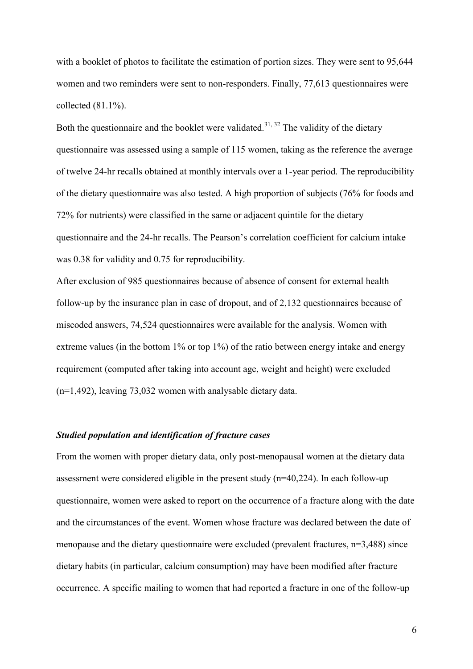with a booklet of photos to facilitate the estimation of portion sizes. They were sent to 95,644 women and two reminders were sent to non-responders. Finally, 77,613 questionnaires were collected (81.1%).

Both the questionnaire and the booklet were validated.<sup>31, 32</sup> The validity of the dietary questionnaire was assessed using a sample of 115 women, taking as the reference the average of twelve 24-hr recalls obtained at monthly intervals over a 1-year period. The reproducibility of the dietary questionnaire was also tested. A high proportion of subjects (76% for foods and 72% for nutrients) were classified in the same or adjacent quintile for the dietary questionnaire and the 24-hr recalls. The Pearson"s correlation coefficient for calcium intake was 0.38 for validity and 0.75 for reproducibility.

After exclusion of 985 questionnaires because of absence of consent for external health follow-up by the insurance plan in case of dropout, and of 2,132 questionnaires because of miscoded answers, 74,524 questionnaires were available for the analysis. Women with extreme values (in the bottom 1% or top 1%) of the ratio between energy intake and energy requirement (computed after taking into account age, weight and height) were excluded (n=1,492), leaving 73,032 women with analysable dietary data.

#### *Studied population and identification of fracture cases*

From the women with proper dietary data, only post-menopausal women at the dietary data assessment were considered eligible in the present study (n=40,224). In each follow-up questionnaire, women were asked to report on the occurrence of a fracture along with the date and the circumstances of the event. Women whose fracture was declared between the date of menopause and the dietary questionnaire were excluded (prevalent fractures, n=3,488) since dietary habits (in particular, calcium consumption) may have been modified after fracture occurrence. A specific mailing to women that had reported a fracture in one of the follow-up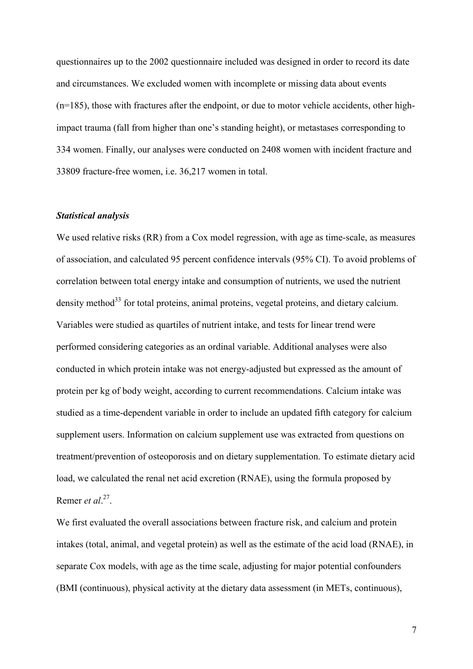questionnaires up to the 2002 questionnaire included was designed in order to record its date and circumstances. We excluded women with incomplete or missing data about events (n=185), those with fractures after the endpoint, or due to motor vehicle accidents, other highimpact trauma (fall from higher than one"s standing height), or metastases corresponding to 334 women. Finally, our analyses were conducted on 2408 women with incident fracture and 33809 fracture-free women, i.e. 36,217 women in total.

#### *Statistical analysis*

We used relative risks (RR) from a Cox model regression, with age as time-scale, as measures of association, and calculated 95 percent confidence intervals (95% CI). To avoid problems of correlation between total energy intake and consumption of nutrients, we used the nutrient density method<sup>33</sup> for total proteins, animal proteins, vegetal proteins, and dietary calcium. Variables were studied as quartiles of nutrient intake, and tests for linear trend were performed considering categories as an ordinal variable. Additional analyses were also conducted in which protein intake was not energy-adjusted but expressed as the amount of protein per kg of body weight, according to current recommendations. Calcium intake was studied as a time-dependent variable in order to include an updated fifth category for calcium supplement users. Information on calcium supplement use was extracted from questions on treatment/prevention of osteoporosis and on dietary supplementation. To estimate dietary acid load, we calculated the renal net acid excretion (RNAE), using the formula proposed by Remer *et al*.<sup>27</sup>.

We first evaluated the overall associations between fracture risk, and calcium and protein intakes (total, animal, and vegetal protein) as well as the estimate of the acid load (RNAE), in separate Cox models, with age as the time scale, adjusting for major potential confounders (BMI (continuous), physical activity at the dietary data assessment (in METs, continuous),

7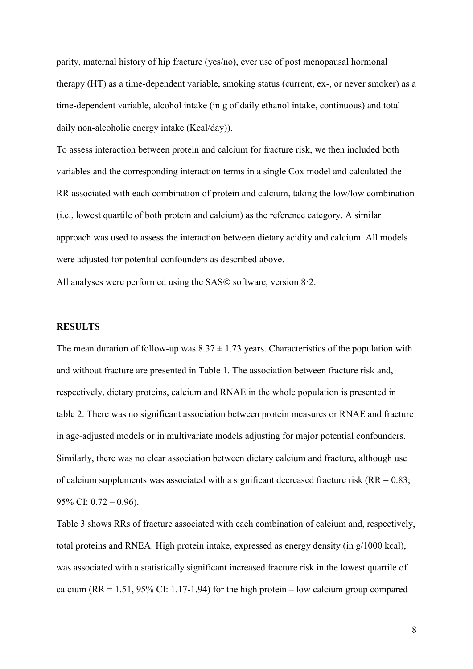parity, maternal history of hip fracture (yes/no), ever use of post menopausal hormonal therapy (HT) as a time-dependent variable, smoking status (current, ex-, or never smoker) as a time-dependent variable, alcohol intake (in g of daily ethanol intake, continuous) and total daily non-alcoholic energy intake (Kcal/day)).

To assess interaction between protein and calcium for fracture risk, we then included both variables and the corresponding interaction terms in a single Cox model and calculated the RR associated with each combination of protein and calcium, taking the low/low combination (i.e., lowest quartile of both protein and calcium) as the reference category. A similar approach was used to assess the interaction between dietary acidity and calcium. All models were adjusted for potential confounders as described above.

All analyses were performed using the SAS $\odot$  software, version 8.2.

#### **RESULTS**

The mean duration of follow-up was  $8.37 \pm 1.73$  years. Characteristics of the population with and without fracture are presented in Table 1. The association between fracture risk and, respectively, dietary proteins, calcium and RNAE in the whole population is presented in table 2. There was no significant association between protein measures or RNAE and fracture in age-adjusted models or in multivariate models adjusting for major potential confounders. Similarly, there was no clear association between dietary calcium and fracture, although use of calcium supplements was associated with a significant decreased fracture risk ( $RR = 0.83$ ; 95% CI: 0.72 – 0.96).

Table 3 shows RRs of fracture associated with each combination of calcium and, respectively, total proteins and RNEA. High protein intake, expressed as energy density (in g/1000 kcal), was associated with a statistically significant increased fracture risk in the lowest quartile of calcium (RR = 1.51, 95% CI: 1.17-1.94) for the high protein – low calcium group compared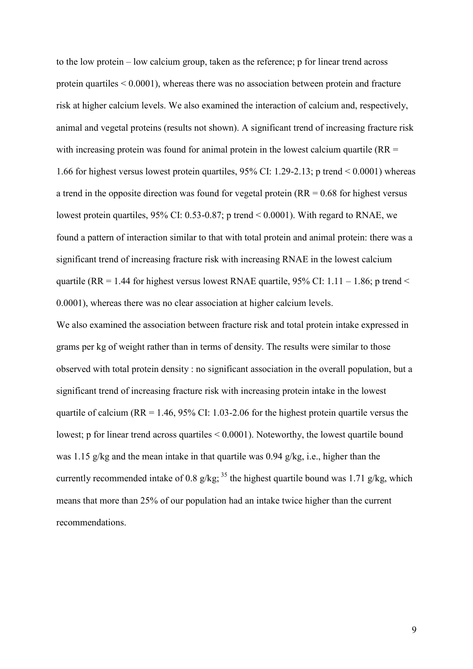to the low protein – low calcium group, taken as the reference; p for linear trend across protein quartiles < 0.0001), whereas there was no association between protein and fracture risk at higher calcium levels. We also examined the interaction of calcium and, respectively, animal and vegetal proteins (results not shown). A significant trend of increasing fracture risk with increasing protein was found for animal protein in the lowest calcium quartile  $(RR =$ 1.66 for highest versus lowest protein quartiles, 95% CI: 1.29-2.13; p trend < 0.0001) whereas a trend in the opposite direction was found for vegetal protein  $(RR = 0.68$  for highest versus lowest protein quartiles, 95% CI: 0.53-0.87; p trend < 0.0001). With regard to RNAE, we found a pattern of interaction similar to that with total protein and animal protein: there was a significant trend of increasing fracture risk with increasing RNAE in the lowest calcium quartile (RR = 1.44 for highest versus lowest RNAE quartile, 95% CI:  $1.11 - 1.86$ ; p trend < 0.0001), whereas there was no clear association at higher calcium levels.

We also examined the association between fracture risk and total protein intake expressed in grams per kg of weight rather than in terms of density. The results were similar to those observed with total protein density : no significant association in the overall population, but a significant trend of increasing fracture risk with increasing protein intake in the lowest quartile of calcium ( $RR = 1.46$ ,  $95\%$  CI: 1.03-2.06 for the highest protein quartile versus the lowest; p for linear trend across quartiles < 0.0001). Noteworthy, the lowest quartile bound was 1.15 g/kg and the mean intake in that quartile was 0.94 g/kg, i.e., higher than the currently recommended intake of 0.8 g/kg; <sup>35</sup> the highest quartile bound was 1.71 g/kg, which means that more than 25% of our population had an intake twice higher than the current recommendations.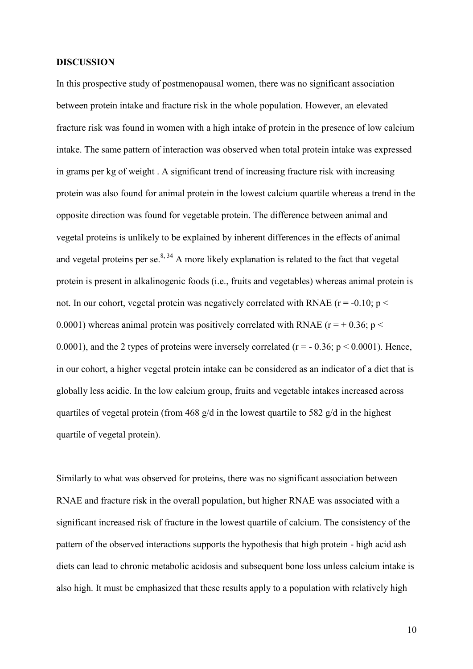#### **DISCUSSION**

In this prospective study of postmenopausal women, there was no significant association between protein intake and fracture risk in the whole population. However, an elevated fracture risk was found in women with a high intake of protein in the presence of low calcium intake. The same pattern of interaction was observed when total protein intake was expressed in grams per kg of weight . A significant trend of increasing fracture risk with increasing protein was also found for animal protein in the lowest calcium quartile whereas a trend in the opposite direction was found for vegetable protein. The difference between animal and vegetal proteins is unlikely to be explained by inherent differences in the effects of animal and vegetal proteins per se. $8,34$  A more likely explanation is related to the fact that vegetal protein is present in alkalinogenic foods (i.e., fruits and vegetables) whereas animal protein is not. In our cohort, vegetal protein was negatively correlated with RNAE ( $r = -0.10$ ; p  $\lt$ 0.0001) whereas animal protein was positively correlated with RNAE ( $r = +0.36$ ; p  $\le$ 0.0001), and the 2 types of proteins were inversely correlated ( $r = -0.36$ ;  $p \le 0.0001$ ). Hence, in our cohort, a higher vegetal protein intake can be considered as an indicator of a diet that is globally less acidic. In the low calcium group, fruits and vegetable intakes increased across quartiles of vegetal protein (from 468 g/d in the lowest quartile to 582 g/d in the highest quartile of vegetal protein).

Similarly to what was observed for proteins, there was no significant association between RNAE and fracture risk in the overall population, but higher RNAE was associated with a significant increased risk of fracture in the lowest quartile of calcium. The consistency of the pattern of the observed interactions supports the hypothesis that high protein - high acid ash diets can lead to chronic metabolic acidosis and subsequent bone loss unless calcium intake is also high. It must be emphasized that these results apply to a population with relatively high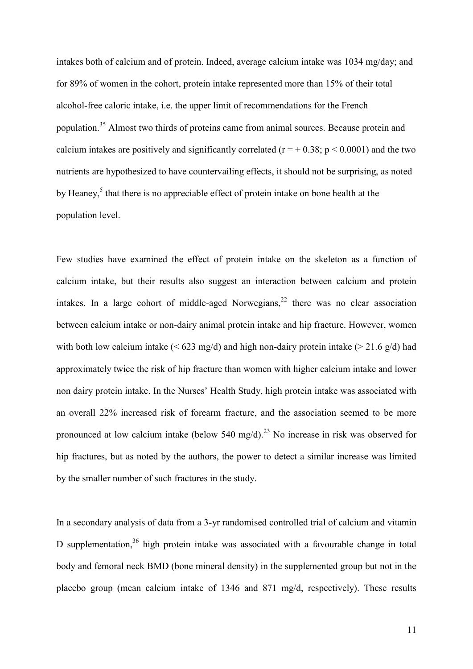intakes both of calcium and of protein. Indeed, average calcium intake was 1034 mg/day; and for 89% of women in the cohort, protein intake represented more than 15% of their total alcohol-free caloric intake, i.e. the upper limit of recommendations for the French population.<sup>35</sup> Almost two thirds of proteins came from animal sources. Because protein and calcium intakes are positively and significantly correlated ( $r = +0.38$ ;  $p < 0.0001$ ) and the two nutrients are hypothesized to have countervailing effects, it should not be surprising, as noted by Heaney,<sup>5</sup> that there is no appreciable effect of protein intake on bone health at the population level.

Few studies have examined the effect of protein intake on the skeleton as a function of calcium intake, but their results also suggest an interaction between calcium and protein intakes. In a large cohort of middle-aged Norwegians.<sup>22</sup> there was no clear association between calcium intake or non-dairy animal protein intake and hip fracture. However, women with both low calcium intake ( $\leq 623$  mg/d) and high non-dairy protein intake ( $\geq 21.6$  g/d) had approximately twice the risk of hip fracture than women with higher calcium intake and lower non dairy protein intake. In the Nurses" Health Study, high protein intake was associated with an overall 22% increased risk of forearm fracture, and the association seemed to be more pronounced at low calcium intake (below 540 mg/d).<sup>23</sup> No increase in risk was observed for hip fractures, but as noted by the authors, the power to detect a similar increase was limited by the smaller number of such fractures in the study.

In a secondary analysis of data from a 3-yr randomised controlled trial of calcium and vitamin D supplementation,  $36$  high protein intake was associated with a favourable change in total body and femoral neck BMD (bone mineral density) in the supplemented group but not in the placebo group (mean calcium intake of 1346 and 871 mg/d, respectively). These results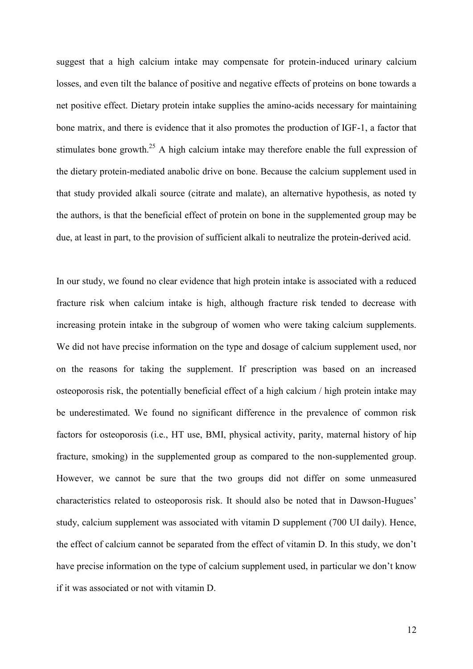suggest that a high calcium intake may compensate for protein-induced urinary calcium losses, and even tilt the balance of positive and negative effects of proteins on bone towards a net positive effect. Dietary protein intake supplies the amino-acids necessary for maintaining bone matrix, and there is evidence that it also promotes the production of IGF-1, a factor that stimulates bone growth.<sup>25</sup> A high calcium intake may therefore enable the full expression of the dietary protein-mediated anabolic drive on bone. Because the calcium supplement used in that study provided alkali source (citrate and malate), an alternative hypothesis, as noted ty the authors, is that the beneficial effect of protein on bone in the supplemented group may be due, at least in part, to the provision of sufficient alkali to neutralize the protein-derived acid.

In our study, we found no clear evidence that high protein intake is associated with a reduced fracture risk when calcium intake is high, although fracture risk tended to decrease with increasing protein intake in the subgroup of women who were taking calcium supplements. We did not have precise information on the type and dosage of calcium supplement used, nor on the reasons for taking the supplement. If prescription was based on an increased osteoporosis risk, the potentially beneficial effect of a high calcium / high protein intake may be underestimated. We found no significant difference in the prevalence of common risk factors for osteoporosis (i.e., HT use, BMI, physical activity, parity, maternal history of hip fracture, smoking) in the supplemented group as compared to the non-supplemented group. However, we cannot be sure that the two groups did not differ on some unmeasured characteristics related to osteoporosis risk. It should also be noted that in Dawson-Hugues" study, calcium supplement was associated with vitamin D supplement (700 UI daily). Hence, the effect of calcium cannot be separated from the effect of vitamin D. In this study, we don"t have precise information on the type of calcium supplement used, in particular we don't know if it was associated or not with vitamin D.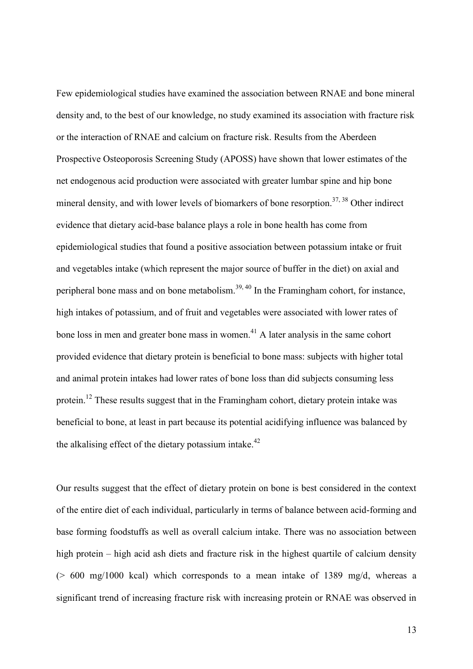Few epidemiological studies have examined the association between RNAE and bone mineral density and, to the best of our knowledge, no study examined its association with fracture risk or the interaction of RNAE and calcium on fracture risk. Results from the Aberdeen Prospective Osteoporosis Screening Study (APOSS) have shown that lower estimates of the net endogenous acid production were associated with greater lumbar spine and hip bone mineral density, and with lower levels of biomarkers of bone resorption.<sup>37, 38</sup> Other indirect evidence that dietary acid-base balance plays a role in bone health has come from epidemiological studies that found a positive association between potassium intake or fruit and vegetables intake (which represent the major source of buffer in the diet) on axial and peripheral bone mass and on bone metabolism.<sup>39, 40</sup> In the Framingham cohort, for instance, high intakes of potassium, and of fruit and vegetables were associated with lower rates of bone loss in men and greater bone mass in women.<sup>41</sup> A later analysis in the same cohort provided evidence that dietary protein is beneficial to bone mass: subjects with higher total and animal protein intakes had lower rates of bone loss than did subjects consuming less protein.<sup>12</sup> These results suggest that in the Framingham cohort, dietary protein intake was beneficial to bone, at least in part because its potential acidifying influence was balanced by the alkalising effect of the dietary potassium intake. $42$ 

Our results suggest that the effect of dietary protein on bone is best considered in the context of the entire diet of each individual, particularly in terms of balance between acid-forming and base forming foodstuffs as well as overall calcium intake. There was no association between high protein – high acid ash diets and fracture risk in the highest quartile of calcium density (> 600 mg/1000 kcal) which corresponds to a mean intake of 1389 mg/d, whereas a significant trend of increasing fracture risk with increasing protein or RNAE was observed in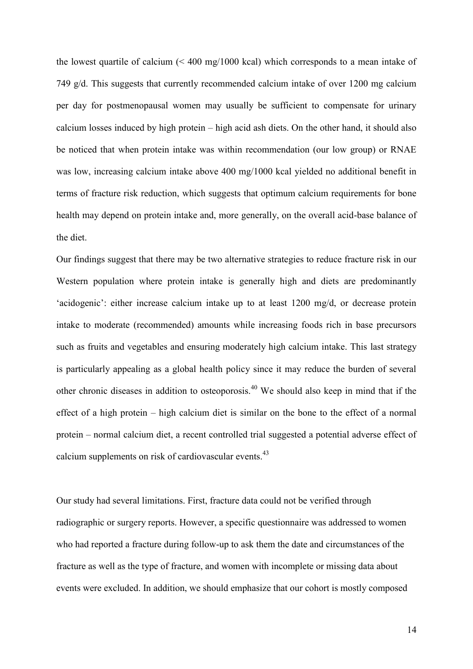the lowest quartile of calcium (< 400 mg/1000 kcal) which corresponds to a mean intake of 749 g/d. This suggests that currently recommended calcium intake of over 1200 mg calcium per day for postmenopausal women may usually be sufficient to compensate for urinary calcium losses induced by high protein – high acid ash diets. On the other hand, it should also be noticed that when protein intake was within recommendation (our low group) or RNAE was low, increasing calcium intake above 400 mg/1000 kcal yielded no additional benefit in terms of fracture risk reduction, which suggests that optimum calcium requirements for bone health may depend on protein intake and, more generally, on the overall acid-base balance of the diet.

Our findings suggest that there may be two alternative strategies to reduce fracture risk in our Western population where protein intake is generally high and diets are predominantly 'acidogenic': either increase calcium intake up to at least 1200 mg/d, or decrease protein intake to moderate (recommended) amounts while increasing foods rich in base precursors such as fruits and vegetables and ensuring moderately high calcium intake. This last strategy is particularly appealing as a global health policy since it may reduce the burden of several other chronic diseases in addition to osteoporosis.<sup>40</sup> We should also keep in mind that if the effect of a high protein – high calcium diet is similar on the bone to the effect of a normal protein – normal calcium diet, a recent controlled trial suggested a potential adverse effect of calcium supplements on risk of cardiovascular events.<sup>43</sup>

Our study had several limitations. First, fracture data could not be verified through radiographic or surgery reports. However, a specific questionnaire was addressed to women who had reported a fracture during follow-up to ask them the date and circumstances of the fracture as well as the type of fracture, and women with incomplete or missing data about events were excluded. In addition, we should emphasize that our cohort is mostly composed

14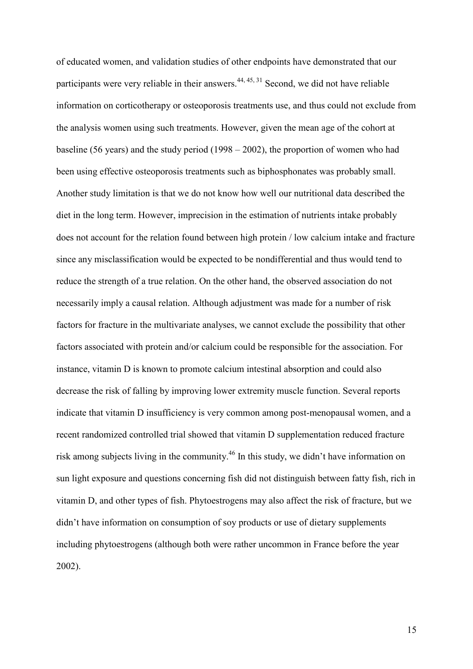of educated women, and validation studies of other endpoints have demonstrated that our participants were very reliable in their answers.<sup>44, 45, 31</sup> Second, we did not have reliable information on corticotherapy or osteoporosis treatments use, and thus could not exclude from the analysis women using such treatments. However, given the mean age of the cohort at baseline (56 years) and the study period (1998 – 2002), the proportion of women who had been using effective osteoporosis treatments such as biphosphonates was probably small. Another study limitation is that we do not know how well our nutritional data described the diet in the long term. However, imprecision in the estimation of nutrients intake probably does not account for the relation found between high protein / low calcium intake and fracture since any misclassification would be expected to be nondifferential and thus would tend to reduce the strength of a true relation. On the other hand, the observed association do not necessarily imply a causal relation. Although adjustment was made for a number of risk factors for fracture in the multivariate analyses, we cannot exclude the possibility that other factors associated with protein and/or calcium could be responsible for the association. For instance, vitamin D is known to promote calcium intestinal absorption and could also decrease the risk of falling by improving lower extremity muscle function. Several reports indicate that vitamin D insufficiency is very common among post-menopausal women, and a recent randomized controlled trial showed that vitamin D supplementation reduced fracture risk among subjects living in the community.<sup>46</sup> In this study, we didn"t have information on sun light exposure and questions concerning fish did not distinguish between fatty fish, rich in vitamin D, and other types of fish. Phytoestrogens may also affect the risk of fracture, but we didn"t have information on consumption of soy products or use of dietary supplements including phytoestrogens (although both were rather uncommon in France before the year 2002).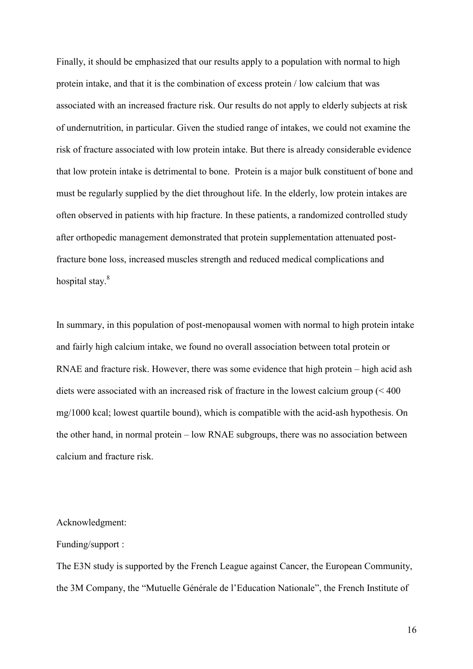Finally, it should be emphasized that our results apply to a population with normal to high protein intake, and that it is the combination of excess protein / low calcium that was associated with an increased fracture risk. Our results do not apply to elderly subjects at risk of undernutrition, in particular. Given the studied range of intakes, we could not examine the risk of fracture associated with low protein intake. But there is already considerable evidence that low protein intake is detrimental to bone. Protein is a major bulk constituent of bone and must be regularly supplied by the diet throughout life. In the elderly, low protein intakes are often observed in patients with hip fracture. In these patients, a randomized controlled study after orthopedic management demonstrated that protein supplementation attenuated postfracture bone loss, increased muscles strength and reduced medical complications and hospital stay.<sup>8</sup>

In summary, in this population of post-menopausal women with normal to high protein intake and fairly high calcium intake, we found no overall association between total protein or RNAE and fracture risk. However, there was some evidence that high protein – high acid ash diets were associated with an increased risk of fracture in the lowest calcium group (< 400 mg/1000 kcal; lowest quartile bound), which is compatible with the acid-ash hypothesis. On the other hand, in normal protein – low RNAE subgroups, there was no association between calcium and fracture risk.

#### Acknowledgment:

#### Funding/support :

The E3N study is supported by the French League against Cancer, the European Community, the 3M Company, the "Mutuelle Générale de l"Education Nationale", the French Institute of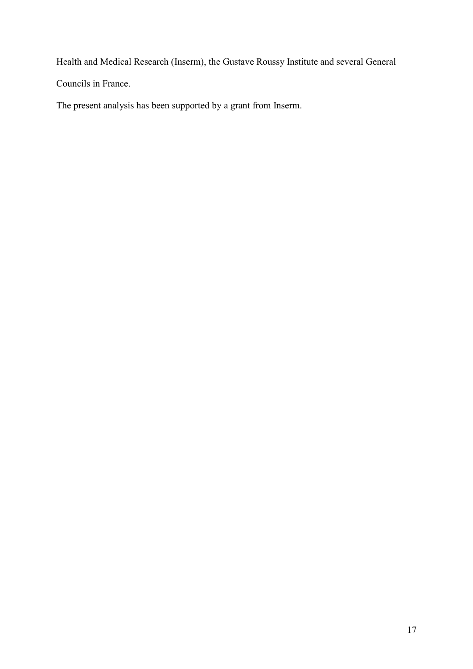Health and Medical Research (Inserm), the Gustave Roussy Institute and several General Councils in France.

The present analysis has been supported by a grant from Inserm.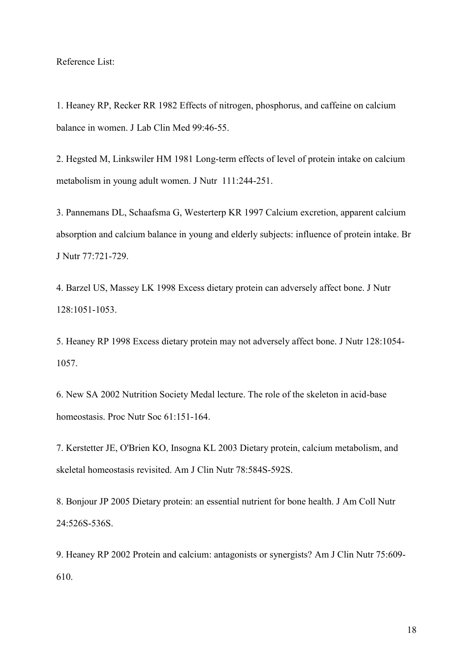Reference List:

1. Heaney RP, Recker RR 1982 Effects of nitrogen, phosphorus, and caffeine on calcium balance in women. J Lab Clin Med 99:46-55.

2. Hegsted M, Linkswiler HM 1981 Long-term effects of level of protein intake on calcium metabolism in young adult women. J Nutr 111:244-251.

3. Pannemans DL, Schaafsma G, Westerterp KR 1997 Calcium excretion, apparent calcium absorption and calcium balance in young and elderly subjects: influence of protein intake. Br J Nutr 77:721-729.

4. Barzel US, Massey LK 1998 Excess dietary protein can adversely affect bone. J Nutr 128:1051-1053.

5. Heaney RP 1998 Excess dietary protein may not adversely affect bone. J Nutr 128:1054- 1057.

6. New SA 2002 Nutrition Society Medal lecture. The role of the skeleton in acid-base homeostasis. Proc Nutr Soc 61:151-164.

7. Kerstetter JE, O'Brien KO, Insogna KL 2003 Dietary protein, calcium metabolism, and skeletal homeostasis revisited. Am J Clin Nutr 78:584S-592S.

8. Bonjour JP 2005 Dietary protein: an essential nutrient for bone health. J Am Coll Nutr 24:526S-536S.

9. Heaney RP 2002 Protein and calcium: antagonists or synergists? Am J Clin Nutr 75:609- 610.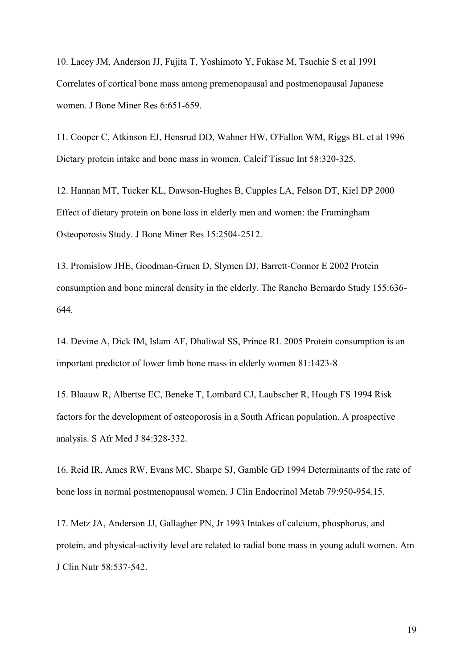10. Lacey JM, Anderson JJ, Fujita T, Yoshimoto Y, Fukase M, Tsuchie S et al 1991 Correlates of cortical bone mass among premenopausal and postmenopausal Japanese women. J Bone Miner Res 6:651-659.

11. Cooper C, Atkinson EJ, Hensrud DD, Wahner HW, O'Fallon WM, Riggs BL et al 1996 Dietary protein intake and bone mass in women. Calcif Tissue Int 58:320-325.

12. Hannan MT, Tucker KL, Dawson-Hughes B, Cupples LA, Felson DT, Kiel DP 2000 Effect of dietary protein on bone loss in elderly men and women: the Framingham Osteoporosis Study. J Bone Miner Res 15:2504-2512.

13. Promislow JHE, Goodman-Gruen D, Slymen DJ, Barrett-Connor E 2002 Protein consumption and bone mineral density in the elderly. The Rancho Bernardo Study 155:636- 644.

14. Devine A, Dick IM, Islam AF, Dhaliwal SS, Prince RL 2005 Protein consumption is an important predictor of lower limb bone mass in elderly women 81:1423-8

15. Blaauw R, Albertse EC, Beneke T, Lombard CJ, Laubscher R, Hough FS 1994 Risk factors for the development of osteoporosis in a South African population. A prospective analysis. S Afr Med J 84:328-332.

16. Reid IR, Ames RW, Evans MC, Sharpe SJ, Gamble GD 1994 Determinants of the rate of bone loss in normal postmenopausal women. J Clin Endocrinol Metab 79:950-954.15.

17. Metz JA, Anderson JJ, Gallagher PN, Jr 1993 Intakes of calcium, phosphorus, and protein, and physical-activity level are related to radial bone mass in young adult women. Am J Clin Nutr 58:537-542.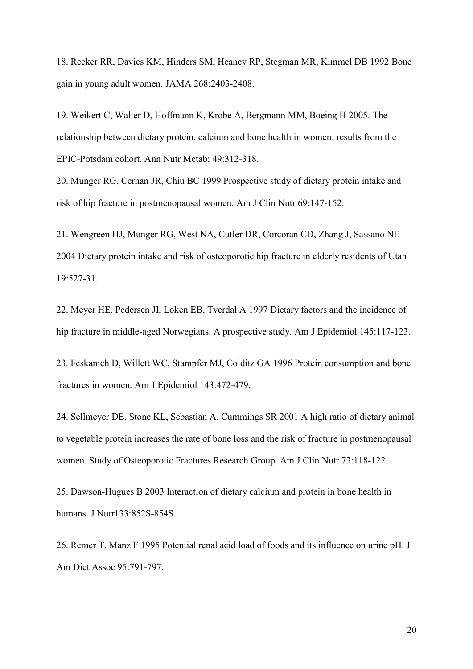18. Recker RR, Davies KM, Hinders SM, Heaney RP, Stegman MR, Kimmel DB 1992 Bone gain in young adult women. JAMA 268:2403-2408.

19. Weikert C, Walter D, Hoffmann K, Krobe A, Bergmann MM, Boeing H 2005. The relationship between dietary protein, calcium and bone health in women: results from the EPIC-Potsdam cohort. Ann Nutr Metab; 49:312-318.

20. Munger RG, Cerhan JR, Chiu BC 1999 Prospective study of dietary protein intake and risk of hip fracture in postmenopausal women. Am J Clin Nutr 69:147-152.

21. Wengreen HJ, Munger RG, West NA, Cutler DR, Corcoran CD, Zhang J, Sassano NE 2004 Dietary protein intake and risk of osteoporotic hip fracture in elderly residents of Utah 19:527-31.

22. Meyer HE, Pedersen JI, Loken EB, Tverdal A 1997 Dietary factors and the incidence of hip fracture in middle-aged Norwegians. A prospective study. Am J Epidemiol 145:117-123.

23. Feskanich D, Willett WC, Stampfer MJ, Colditz GA 1996 Protein consumption and bone fractures in women. Am J Epidemiol 143:472-479.

24. Sellmeyer DE, Stone KL, Sebastian A, Cummings SR 2001 A high ratio of dietary animal to vegetable protein increases the rate of bone loss and the risk of fracture in postmenopausal women. Study of Osteoporotic Fractures Research Group. Am J Clin Nutr 73:118-122.

25. Dawson-Hugues B 2003 Interaction of dietary calcium and protein in bone health in humans. J Nutr133:852S-854S.

26. Remer T, Manz F 1995 Potential renal acid load of foods and its influence on urine pH. J Am Diet Assoc 95:791-797.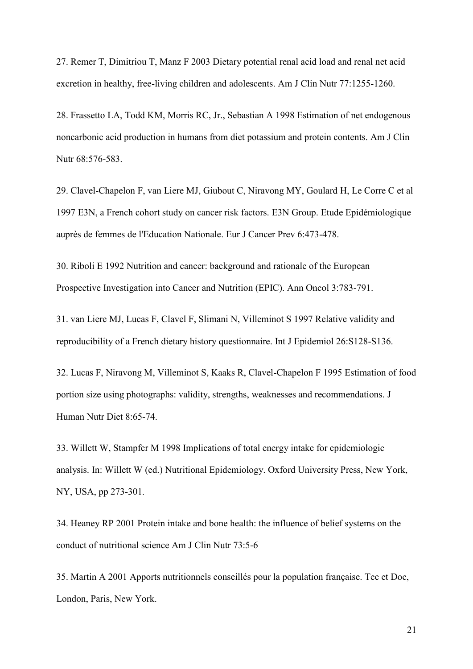27. Remer T, Dimitriou T, Manz F 2003 Dietary potential renal acid load and renal net acid excretion in healthy, free-living children and adolescents. Am J Clin Nutr 77:1255-1260.

28. Frassetto LA, Todd KM, Morris RC, Jr., Sebastian A 1998 Estimation of net endogenous noncarbonic acid production in humans from diet potassium and protein contents. Am J Clin Nutr 68:576-583.

29. Clavel-Chapelon F, van Liere MJ, Giubout C, Niravong MY, Goulard H, Le Corre C et al 1997 E3N, a French cohort study on cancer risk factors. E3N Group. Etude Epidémiologique auprès de femmes de l'Education Nationale. Eur J Cancer Prev 6:473-478.

30. Riboli E 1992 Nutrition and cancer: background and rationale of the European Prospective Investigation into Cancer and Nutrition (EPIC). Ann Oncol 3:783-791.

31. van Liere MJ, Lucas F, Clavel F, Slimani N, Villeminot S 1997 Relative validity and reproducibility of a French dietary history questionnaire. Int J Epidemiol 26:S128-S136.

32. Lucas F, Niravong M, Villeminot S, Kaaks R, Clavel-Chapelon F 1995 Estimation of food portion size using photographs: validity, strengths, weaknesses and recommendations. J Human Nutr Diet 8:65-74.

33. Willett W, Stampfer M 1998 Implications of total energy intake for epidemiologic analysis. In: Willett W (ed.) Nutritional Epidemiology. Oxford University Press, New York, NY, USA, pp 273-301.

34. Heaney RP 2001 Protein intake and bone health: the influence of belief systems on the conduct of nutritional science Am J Clin Nutr 73:5-6

35. Martin A 2001 Apports nutritionnels conseillés pour la population française. Tec et Doc, London, Paris, New York.

21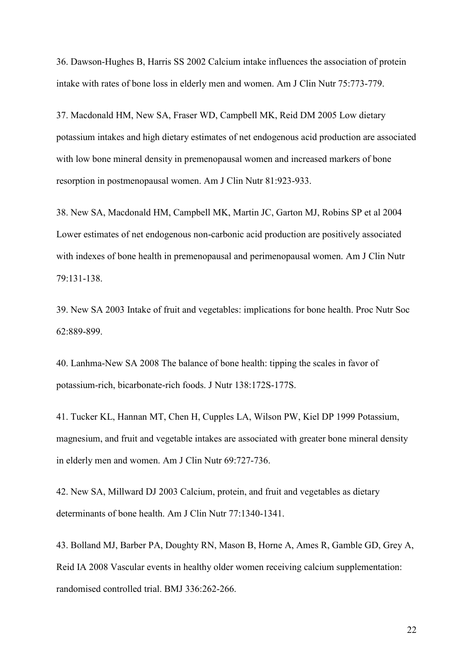36. Dawson-Hughes B, Harris SS 2002 Calcium intake influences the association of protein intake with rates of bone loss in elderly men and women. Am J Clin Nutr 75:773-779.

37. Macdonald HM, New SA, Fraser WD, Campbell MK, Reid DM 2005 Low dietary potassium intakes and high dietary estimates of net endogenous acid production are associated with low bone mineral density in premenopausal women and increased markers of bone resorption in postmenopausal women. Am J Clin Nutr 81:923-933.

38. New SA, Macdonald HM, Campbell MK, Martin JC, Garton MJ, Robins SP et al 2004 Lower estimates of net endogenous non-carbonic acid production are positively associated with indexes of bone health in premenopausal and perimenopausal women. Am J Clin Nutr 79:131-138.

39. New SA 2003 Intake of fruit and vegetables: implications for bone health. Proc Nutr Soc 62:889-899.

40. Lanhma-New SA 2008 The balance of bone health: tipping the scales in favor of potassium-rich, bicarbonate-rich foods. J Nutr 138:172S-177S.

41. Tucker KL, Hannan MT, Chen H, Cupples LA, Wilson PW, Kiel DP 1999 Potassium, magnesium, and fruit and vegetable intakes are associated with greater bone mineral density in elderly men and women. Am J Clin Nutr 69:727-736.

42. New SA, Millward DJ 2003 Calcium, protein, and fruit and vegetables as dietary determinants of bone health. Am J Clin Nutr 77:1340-1341.

43. Bolland MJ, Barber PA, Doughty RN, Mason B, Horne A, Ames R, Gamble GD, Grey A, Reid IA 2008 Vascular events in healthy older women receiving calcium supplementation: randomised controlled trial. BMJ 336:262-266.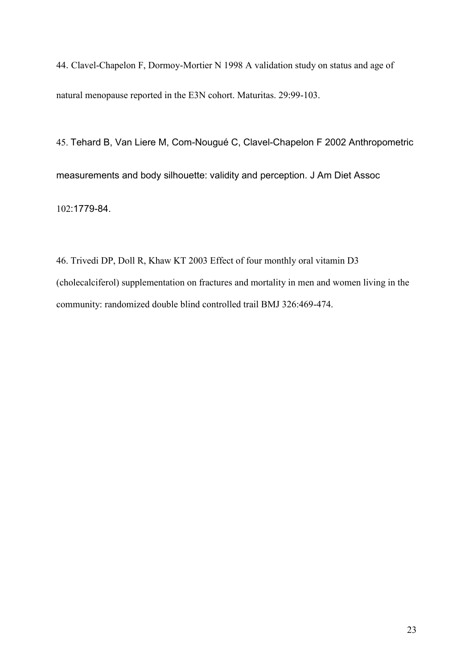44. Clavel-Chapelon F, Dormoy-Mortier N 1998 A validation study on status and age of natural menopause reported in the E3N cohort. Maturitas. 29:99-103.

45. Tehard B, Van Liere M, Com-Nougué C, Clavel-Chapelon F 2002 Anthropometric measurements and body silhouette: validity and perception. J Am Diet Assoc 102:1779-84.

46. Trivedi DP, Doll R, Khaw KT 2003 Effect of four monthly oral vitamin D3 (cholecalciferol) supplementation on fractures and mortality in men and women living in the community: randomized double blind controlled trail BMJ 326:469-474.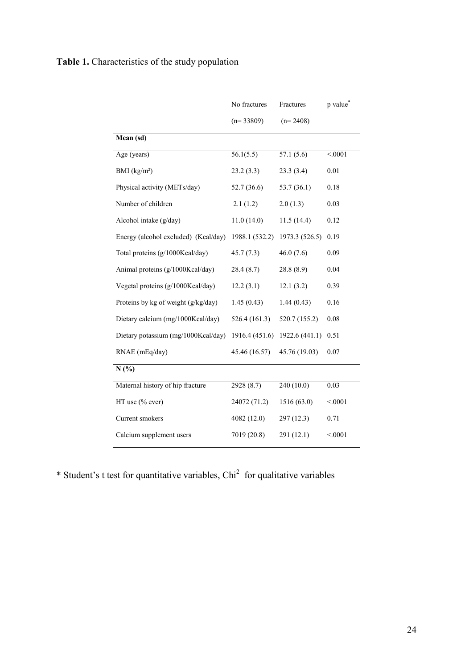## **Table 1.** Characteristics of the study population

|                                      | No fractures   | Fractures               | p value* |
|--------------------------------------|----------------|-------------------------|----------|
|                                      | $(n=33809)$    | $(n=2408)$              |          |
| Mean (sd)                            |                |                         |          |
| Age (years)                          | 56.1(5.5)      | $\overline{57.1}$ (5.6) | < 0001   |
| BMI $(kg/m2)$                        | 23.2(3.3)      | 23.3(3.4)               | 0.01     |
| Physical activity (METs/day)         | 52.7 (36.6)    | 53.7 (36.1)             | 0.18     |
| Number of children                   | 2.1(1.2)       | 2.0(1.3)                | 0.03     |
| Alcohol intake (g/day)               | 11.0(14.0)     | 11.5(14.4)              | 0.12     |
| Energy (alcohol excluded) (Kcal/day) | 1988.1 (532.2) | 1973.3 (526.5)          | 0.19     |
| Total proteins (g/1000Kcal/day)      | 45.7(7.3)      | 46.0(7.6)               | 0.09     |
| Animal proteins (g/1000Kcal/day)     | 28.4(8.7)      | 28.8(8.9)               | 0.04     |
| Vegetal proteins (g/1000Kcal/day)    | 12.2(3.1)      | 12.1(3.2)               | 0.39     |
| Proteins by kg of weight (g/kg/day)  | 1.45(0.43)     | 1.44(0.43)              | 0.16     |
| Dietary calcium (mg/1000Kcal/day)    | 526.4(161.3)   | 520.7 (155.2)           | 0.08     |
| Dietary potassium (mg/1000Kcal/day)  | 1916.4 (451.6) | 1922.6 (441.1)          | 0.51     |
| RNAE (mEq/day)                       | 45.46 (16.57)  | 45.76 (19.03)           | 0.07     |
| N(%)                                 |                |                         |          |
| Maternal history of hip fracture     | 2928(8.7)      | 240(10.0)               | 0.03     |
| HT use (% ever)                      | 24072 (71.2)   | 1516 (63.0)             | < 0001   |
| Current smokers                      | 4082 (12.0)    | 297 (12.3)              | 0.71     |
| Calcium supplement users             | 7019 (20.8)    | 291 (12.1)              | < 0001   |

\* Student's t test for quantitative variables,  $Chi<sup>2</sup>$  for qualitative variables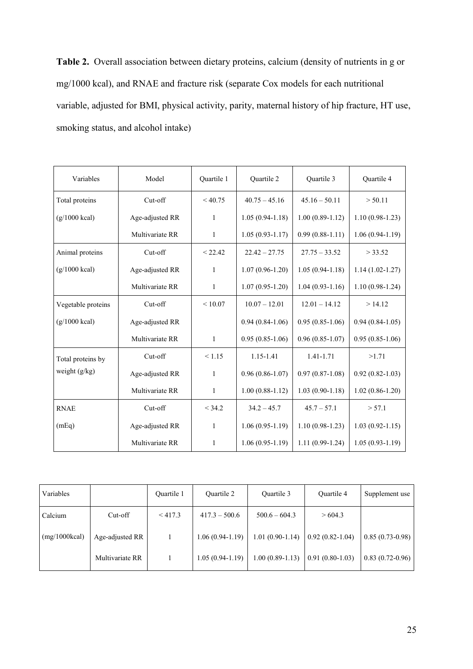**Table 2.** Overall association between dietary proteins, calcium (density of nutrients in g or mg/1000 kcal), and RNAE and fracture risk (separate Cox models for each nutritional variable, adjusted for BMI, physical activity, parity, maternal history of hip fracture, HT use, smoking status, and alcohol intake)

| Variables               | Model           | Quartile 1   | Quartile 2          | Quartile 3        | Quartile 4          |
|-------------------------|-----------------|--------------|---------------------|-------------------|---------------------|
| Total proteins          | Cut-off         | < 40.75      | $40.75 - 45.16$     | $45.16 - 50.11$   | > 50.11             |
| $(g/1000$ kcal)         | Age-adjusted RR | $\mathbf{1}$ | $1.05(0.94 - 1.18)$ | $1.00(0.89-1.12)$ | $1.10(0.98-1.23)$   |
|                         | Multivariate RR | $\mathbf{1}$ | $1.05(0.93 - 1.17)$ | $0.99(0.88-1.11)$ | $1.06(0.94-1.19)$   |
| Animal proteins         | Cut-off         | < 22.42      | $22.42 - 27.75$     | $27.75 - 33.52$   | > 33.52             |
| $(g/1000 \text{ kcal})$ | Age-adjusted RR | $\mathbf{1}$ | $1.07(0.96 - 1.20)$ | $1.05(0.94-1.18)$ | $1.14(1.02 - 1.27)$ |
|                         | Multivariate RR | $\mathbf{1}$ | $1.07(0.95 - 1.20)$ | $1.04(0.93-1.16)$ | $1.10(0.98-1.24)$   |
| Vegetable proteins      | Cut-off         | ${}< 10.07$  | $10.07 - 12.01$     | $12.01 - 14.12$   | >14.12              |
| $(g/1000 \text{ kcal})$ | Age-adjusted RR |              | $0.94(0.84-1.06)$   | $0.95(0.85-1.06)$ | $0.94(0.84-1.05)$   |
|                         | Multivariate RR | $\mathbf{1}$ | $0.95(0.85-1.06)$   | $0.96(0.85-1.07)$ | $0.95(0.85-1.06)$   |
| Total proteins by       | Cut-off         | < 1.15       | 1.15-1.41           | 1.41-1.71         | >1.71               |
| weight (g/kg)           | Age-adjusted RR | $\mathbf{1}$ | $0.96(0.86 - 1.07)$ | $0.97(0.87-1.08)$ | $0.92(0.82 - 1.03)$ |
|                         | Multivariate RR | $\mathbf{1}$ | $1.00(0.88-1.12)$   | $1.03(0.90-1.18)$ | $1.02(0.86 - 1.20)$ |
| <b>RNAE</b>             | Cut-off         | < 34.2       | $34.2 - 45.7$       | $45.7 - 57.1$     | > 57.1              |
| (mEq)                   | Age-adjusted RR | 1            | $1.06(0.95-1.19)$   | $1.10(0.98-1.23)$ | $1.03(0.92 - 1.15)$ |
|                         | Multivariate RR | 1            | $1.06(0.95-1.19)$   | $1.11(0.99-1.24)$ | $1.05(0.93-1.19)$   |

| Variables     |                 | Ouartile 1 | <b>Ouartile 2</b> | Quartile 3        | Quartile 4        | Supplement use    |
|---------------|-----------------|------------|-------------------|-------------------|-------------------|-------------------|
| Calcium       | $Cut-off$       | $<$ 417.3  | $417.3 - 500.6$   | $500.6 - 604.3$   | >604.3            |                   |
| (mg/1000kcal) | Age-adjusted RR |            | $1.06(0.94-1.19)$ | $1.01(0.90-1.14)$ | $0.92(0.82-1.04)$ | $0.85(0.73-0.98)$ |
|               | Multivariate RR |            | $1.05(0.94-1.19)$ | $1.00(0.89-1.13)$ | $0.91(0.80-1.03)$ | $0.83(0.72-0.96)$ |